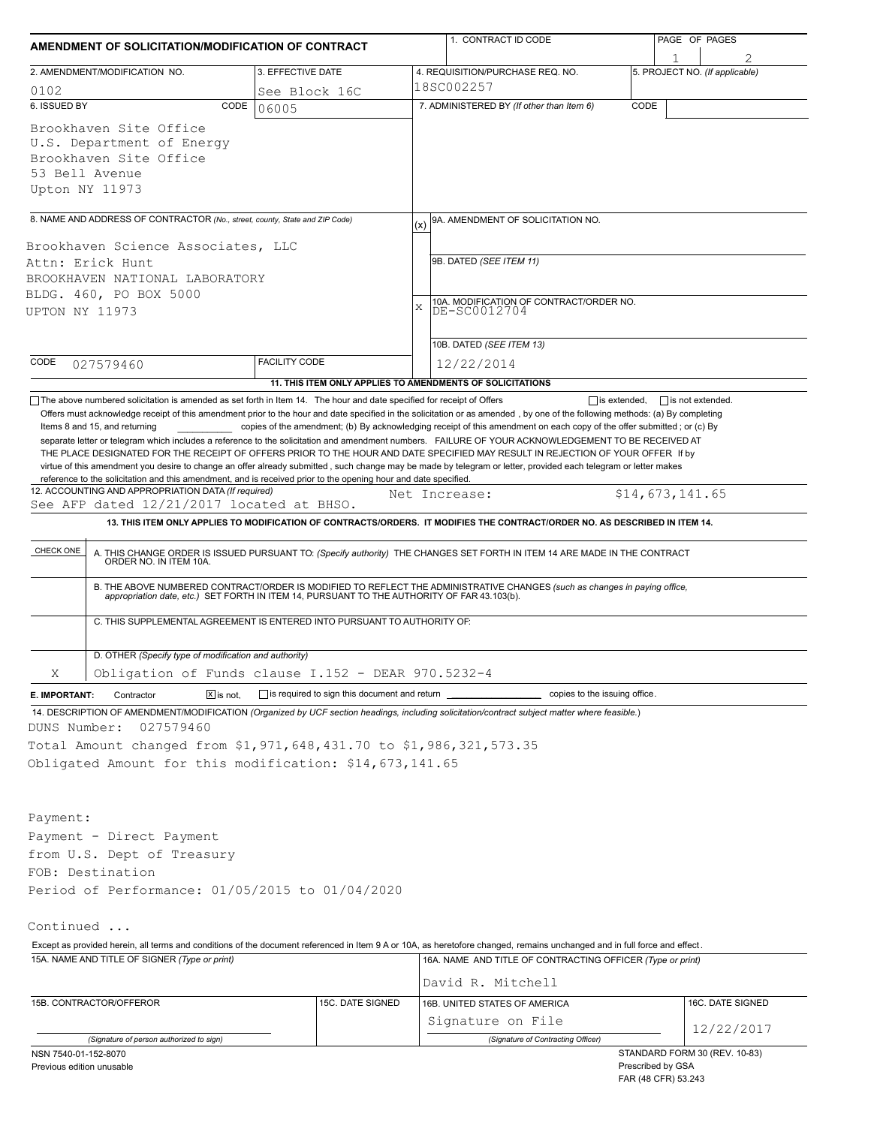| AMENDMENT OF SOLICITATION/MODIFICATION OF CONTRACT                                                                                                                                                                                                                                                                                                                                                                                                                                                                                                                                                            |                                                           |   | 1. CONTRACT ID CODE                                                                                                                                                                                                                                                                                                                                                          |      | PAGE OF PAGES                  |  |  |
|---------------------------------------------------------------------------------------------------------------------------------------------------------------------------------------------------------------------------------------------------------------------------------------------------------------------------------------------------------------------------------------------------------------------------------------------------------------------------------------------------------------------------------------------------------------------------------------------------------------|-----------------------------------------------------------|---|------------------------------------------------------------------------------------------------------------------------------------------------------------------------------------------------------------------------------------------------------------------------------------------------------------------------------------------------------------------------------|------|--------------------------------|--|--|
| 2. AMENDMENT/MODIFICATION NO.                                                                                                                                                                                                                                                                                                                                                                                                                                                                                                                                                                                 | 3. EFFECTIVE DATE                                         |   | 4. REQUISITION/PURCHASE REQ. NO.                                                                                                                                                                                                                                                                                                                                             |      | 5. PROJECT NO. (If applicable) |  |  |
| 0102                                                                                                                                                                                                                                                                                                                                                                                                                                                                                                                                                                                                          | See Block 16C                                             |   | 18SC002257                                                                                                                                                                                                                                                                                                                                                                   |      |                                |  |  |
| 6. ISSUED BY<br>CODE                                                                                                                                                                                                                                                                                                                                                                                                                                                                                                                                                                                          | 06005                                                     |   | 7. ADMINISTERED BY (If other than Item 6)                                                                                                                                                                                                                                                                                                                                    | CODE |                                |  |  |
| Brookhaven Site Office<br>U.S. Department of Energy<br>Brookhaven Site Office<br>53 Bell Avenue<br>Upton NY 11973                                                                                                                                                                                                                                                                                                                                                                                                                                                                                             |                                                           |   |                                                                                                                                                                                                                                                                                                                                                                              |      |                                |  |  |
| 8. NAME AND ADDRESS OF CONTRACTOR (No., street, county, State and ZIP Code)                                                                                                                                                                                                                                                                                                                                                                                                                                                                                                                                   |                                                           |   | 9A. AMENDMENT OF SOLICITATION NO.                                                                                                                                                                                                                                                                                                                                            |      |                                |  |  |
| Brookhaven Science Associates, LLC<br>Attn: Erick Hunt<br>BROOKHAVEN NATIONAL LABORATORY<br>BLDG. 460, PO BOX 5000<br>UPTON NY 11973                                                                                                                                                                                                                                                                                                                                                                                                                                                                          |                                                           | X | 9B. DATED (SEE ITEM 11)<br>10A. MODIFICATION OF CONTRACT/ORDER NO.<br>DE-SC0012704                                                                                                                                                                                                                                                                                           |      |                                |  |  |
|                                                                                                                                                                                                                                                                                                                                                                                                                                                                                                                                                                                                               |                                                           |   | 10B. DATED (SEE ITEM 13)                                                                                                                                                                                                                                                                                                                                                     |      |                                |  |  |
| CODE<br>027579460                                                                                                                                                                                                                                                                                                                                                                                                                                                                                                                                                                                             | <b>FACILITY CODE</b>                                      |   | 12/22/2014                                                                                                                                                                                                                                                                                                                                                                   |      |                                |  |  |
|                                                                                                                                                                                                                                                                                                                                                                                                                                                                                                                                                                                                               | 11. THIS ITEM ONLY APPLIES TO AMENDMENTS OF SOLICITATIONS |   |                                                                                                                                                                                                                                                                                                                                                                              |      |                                |  |  |
| Items 8 and 15, and returning<br>separate letter or telegram which includes a reference to the solicitation and amendment numbers. FAILURE OF YOUR ACKNOWLEDGEMENT TO BE RECEIVED AT<br>THE PLACE DESIGNATED FOR THE RECEIPT OF OFFERS PRIOR TO THE HOUR AND DATE SPECIFIED MAY RESULT IN REJECTION OF YOUR OFFER If by<br>virtue of this amendment you desire to change an offer already submitted, such change may be made by telegram or letter, provided each telegram or letter makes<br>reference to the solicitation and this amendment, and is received prior to the opening hour and date specified. |                                                           |   | copies of the amendment; (b) By acknowledging receipt of this amendment on each copy of the offer submitted; or (c) By                                                                                                                                                                                                                                                       |      |                                |  |  |
| 12. ACCOUNTING AND APPROPRIATION DATA (If required)                                                                                                                                                                                                                                                                                                                                                                                                                                                                                                                                                           |                                                           |   | Net Increase:                                                                                                                                                                                                                                                                                                                                                                |      | \$14,673,141.65                |  |  |
| See AFP dated 12/21/2017 located at BHSO.                                                                                                                                                                                                                                                                                                                                                                                                                                                                                                                                                                     |                                                           |   |                                                                                                                                                                                                                                                                                                                                                                              |      |                                |  |  |
|                                                                                                                                                                                                                                                                                                                                                                                                                                                                                                                                                                                                               |                                                           |   | 13. THIS ITEM ONLY APPLIES TO MODIFICATION OF CONTRACTS/ORDERS. IT MODIFIES THE CONTRACT/ORDER NO. AS DESCRIBED IN ITEM 14.                                                                                                                                                                                                                                                  |      |                                |  |  |
| CHECK ONE<br>C. THIS SUPPLEMENTAL AGREEMENT IS ENTERED INTO PURSUANT TO AUTHORITY OF:                                                                                                                                                                                                                                                                                                                                                                                                                                                                                                                         |                                                           |   | A. THIS CHANGE ORDER IS ISSUED PURSUANT TO: (Specify authority) THE CHANGES SET FORTH IN ITEM 14 ARE MADE IN THE CONTRACT ORDER NO. IN ITEM 10A.<br>B. THE ABOVE NUMBERED CONTRACT/ORDER IS MODIFIED TO REFLECT THE ADMINISTRATIVE CHANGES (such as changes in paying office,<br>appropriation date, etc.) SET FORTH IN ITEM 14, PURSUANT TO THE AUTHORITY OF FAR 43.103(b). |      |                                |  |  |
|                                                                                                                                                                                                                                                                                                                                                                                                                                                                                                                                                                                                               |                                                           |   |                                                                                                                                                                                                                                                                                                                                                                              |      |                                |  |  |
| D. OTHER (Specify type of modification and authority)                                                                                                                                                                                                                                                                                                                                                                                                                                                                                                                                                         |                                                           |   |                                                                                                                                                                                                                                                                                                                                                                              |      |                                |  |  |
| Obligation of Funds clause I.152 - DEAR 970.5232-4<br>Χ                                                                                                                                                                                                                                                                                                                                                                                                                                                                                                                                                       |                                                           |   |                                                                                                                                                                                                                                                                                                                                                                              |      |                                |  |  |
| $\boxed{\mathbf{X}}$ is not.<br>E. IMPORTANT:<br>Contractor                                                                                                                                                                                                                                                                                                                                                                                                                                                                                                                                                   | is required to sign this document and return              |   | copies to the issuing office.                                                                                                                                                                                                                                                                                                                                                |      |                                |  |  |
| 14. DESCRIPTION OF AMENDMENT/MODIFICATION (Organized by UCF section headings, including solicitation/contract subject matter where feasible.)<br>027579460<br>DUNS Number:<br>Total Amount changed from \$1,971,648,431.70 to \$1,986,321,573.35<br>Obligated Amount for this modification: \$14,673,141.65                                                                                                                                                                                                                                                                                                   |                                                           |   |                                                                                                                                                                                                                                                                                                                                                                              |      |                                |  |  |
| Payment:<br>Payment - Direct Payment<br>from U.S. Dept of Treasury<br>FOB: Destination<br>Period of Performance: 01/05/2015 to 01/04/2020                                                                                                                                                                                                                                                                                                                                                                                                                                                                     |                                                           |   |                                                                                                                                                                                                                                                                                                                                                                              |      |                                |  |  |
| Continued                                                                                                                                                                                                                                                                                                                                                                                                                                                                                                                                                                                                     |                                                           |   |                                                                                                                                                                                                                                                                                                                                                                              |      |                                |  |  |
| Except as provided herein, all terms and conditions of the document referenced in Item 9 A or 10A, as heretofore changed, remains unchanged and in full force and effect.                                                                                                                                                                                                                                                                                                                                                                                                                                     |                                                           |   |                                                                                                                                                                                                                                                                                                                                                                              |      |                                |  |  |
| 15A. NAME AND TITLE OF SIGNER (Type or print)                                                                                                                                                                                                                                                                                                                                                                                                                                                                                                                                                                 |                                                           |   | 16A. NAME AND TITLE OF CONTRACTING OFFICER (Type or print)                                                                                                                                                                                                                                                                                                                   |      |                                |  |  |
|                                                                                                                                                                                                                                                                                                                                                                                                                                                                                                                                                                                                               |                                                           |   | David R. Mitchell                                                                                                                                                                                                                                                                                                                                                            |      |                                |  |  |
| 15B. CONTRACTOR/OFFEROR                                                                                                                                                                                                                                                                                                                                                                                                                                                                                                                                                                                       | 15C. DATE SIGNED                                          |   | 16B. UNITED STATES OF AMERICA<br>Signature on File                                                                                                                                                                                                                                                                                                                           |      | 16C. DATE SIGNED               |  |  |
| (Signature of person authorized to sign)                                                                                                                                                                                                                                                                                                                                                                                                                                                                                                                                                                      |                                                           |   | (Signature of Contracting Officer)                                                                                                                                                                                                                                                                                                                                           |      | 12/22/2017                     |  |  |
| NSN 7540-01-152-8070                                                                                                                                                                                                                                                                                                                                                                                                                                                                                                                                                                                          |                                                           |   |                                                                                                                                                                                                                                                                                                                                                                              |      | STANDARD FORM 30 (REV. 10-83)  |  |  |

Previous edition unusable

Prescribed by GSA FAR (48 CFR) 53.243